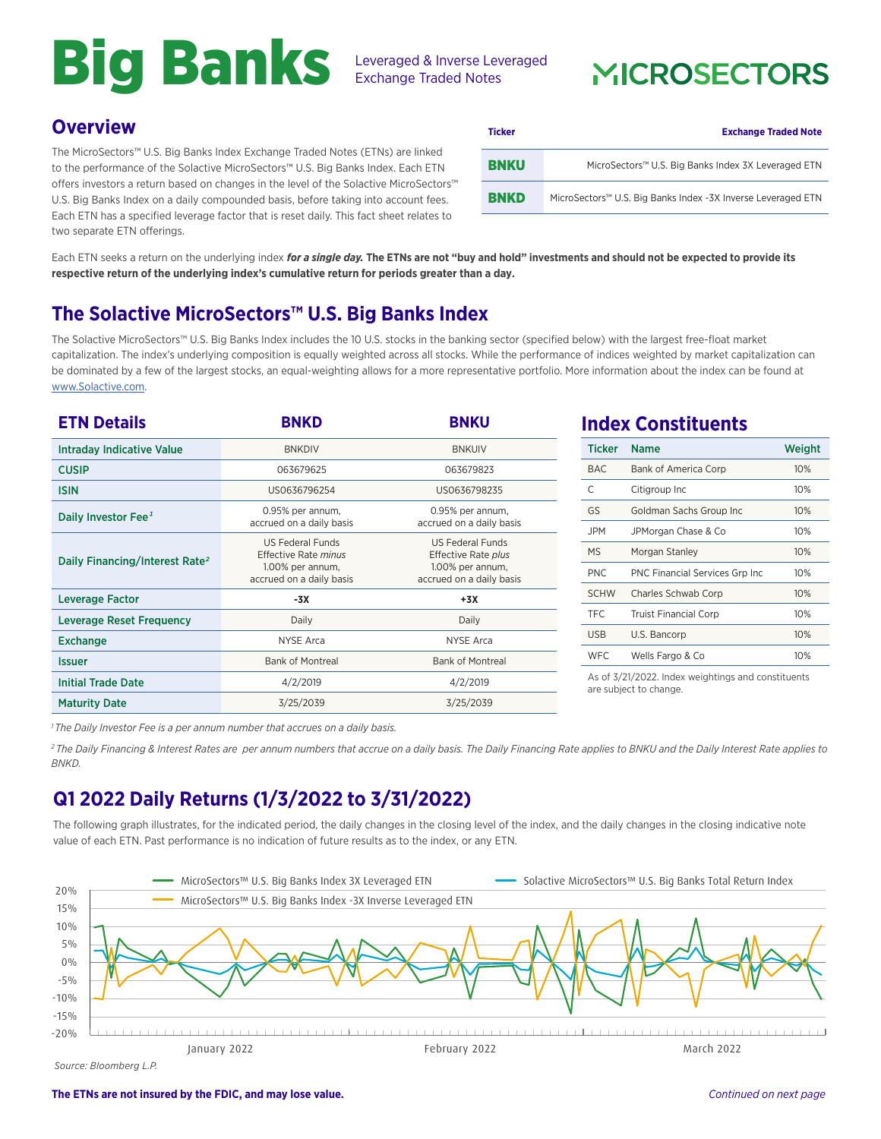# **Big Banks** Leveraged & Inverse Leveraged

## **MICROSECTORS**

#### **Overview**

The MicroSectors™ U.S. Big Banks Index Exchange Traded Notes (ETNs) are linked to the performance of the Solactive MicroSectors™ U.S. Big Banks Index. Each ETN offers investors a return based on changes in the level of the Solactive MicroSectors™ U.S. Big Banks Index on a daily compounded basis, before taking into account fees. Each ETN has a specified leverage factor that is reset daily. This fact sheet relates to two separate ETN offerings.

| Ticker      | <b>Exchange Traded Note</b>                                  |
|-------------|--------------------------------------------------------------|
| BNKU        | MicroSectors™ U.S. Big Banks Index 3X Leveraged ETN          |
| <b>BNKD</b> | MicroSectors™ U.S. Big Banks Index -3X Inverse Leveraged ETN |

Each ETN seeks a return on the underlying index *for a single day.* **The ETNs are not "buy and hold" investments and should not be expected to provide its respective return of the underlying index's cumulative return for periods greater than a day.**

### **The Solactive MicroSectors™ U.S. Big Banks Index**

The Solactive MicroSectors™ U.S. Big Banks Index includes the 10 U.S. stocks in the banking sector (specified below) with the largest free-float market capitalization. The index's underlying composition is equally weighted across all stocks. While the performance of indices weighted by market capitalization can be dominated by a few of the largest stocks, an equal-weighting allows for a more representative portfolio. More information about the index can be found at [www.Solactive.com.](http://www.Solactive.com)

| <b>ETN Details</b>                         | <b>BNKD</b>                                                                                     | <b>BNKU</b>                                                                                    |
|--------------------------------------------|-------------------------------------------------------------------------------------------------|------------------------------------------------------------------------------------------------|
| <b>Intraday Indicative Value</b>           | <b>BNKDIV</b>                                                                                   | <b>BNKUIV</b>                                                                                  |
| <b>CUSIP</b>                               | 063679625                                                                                       | 063679823                                                                                      |
| <b>ISIN</b>                                | US0636796254                                                                                    | US0636798235                                                                                   |
| Daily Investor Fee <sup>1</sup>            | 0.95% per annum,<br>accrued on a daily basis                                                    | 0.95% per annum,<br>accrued on a daily basis                                                   |
| Daily Financing/Interest Rate <sup>2</sup> | <b>US Federal Funds</b><br>Effective Rate minus<br>1.00% per annum,<br>accrued on a daily basis | <b>US Federal Funds</b><br>Effective Rate plus<br>1.00% per annum,<br>accrued on a daily basis |
| Leverage Factor                            | -3X                                                                                             | $+3X$                                                                                          |
| <b>Leverage Reset Frequency</b>            | Daily                                                                                           | Daily                                                                                          |
| <b>Exchange</b>                            | <b>NYSE Arca</b>                                                                                | <b>NYSE Arca</b>                                                                               |
| <i><u><b>Issuer</b></u></i>                | <b>Bank of Montreal</b>                                                                         | <b>Bank of Montreal</b>                                                                        |
| <b>Initial Trade Date</b>                  | 4/2/2019                                                                                        | 4/2/2019                                                                                       |
| <b>Maturity Date</b>                       | 3/25/2039                                                                                       | 3/25/2039                                                                                      |

| <b>Index Constituents</b> |                                |        |  |
|---------------------------|--------------------------------|--------|--|
| <b>Ticker</b>             | <b>Name</b>                    | Weight |  |
| BAC.                      | Bank of America Corp           | 10%    |  |
| C                         | Citigroup Inc                  | 10%    |  |
| GS                        | Goldman Sachs Group Inc        | 10%    |  |
| JPM.                      | JPMorgan Chase & Co            | 10%    |  |
| <b>MS</b>                 | Morgan Stanley                 | 10%    |  |
| <b>PNC</b>                | PNC Financial Services Grp Inc | 10%    |  |
| <b>SCHW</b>               | Charles Schwab Corp            | 10%    |  |
| TFC.                      | <b>Truist Financial Corp</b>   | 10%    |  |
| USB                       | U.S. Bancorp                   | 10%    |  |
| <b>WFC</b>                | Wells Fargo & Co               | 10%    |  |
|                           |                                |        |  |

As of 3/21/2022. Index weightings and constituents are subject to change.

*1 The Daily Investor Fee is a per annum number that accrues on a daily basis.* 

*2 The Daily Financing & Interest Rates are per annum numbers that accrue on a daily basis. The Daily Financing Rate applies to BNKU and the Daily Interest Rate applies to BNKD.*

### **Q1 2022 Daily Returns (1/3/2022 to 3/31/2022)**

The following graph illustrates, for the indicated period, the daily changes in the closing level of the index, and the daily changes in the closing indicative note value of each ETN. Past performance is no indication of future results as to the index, or any ETN.



*Source: Bloomberg L.P.*